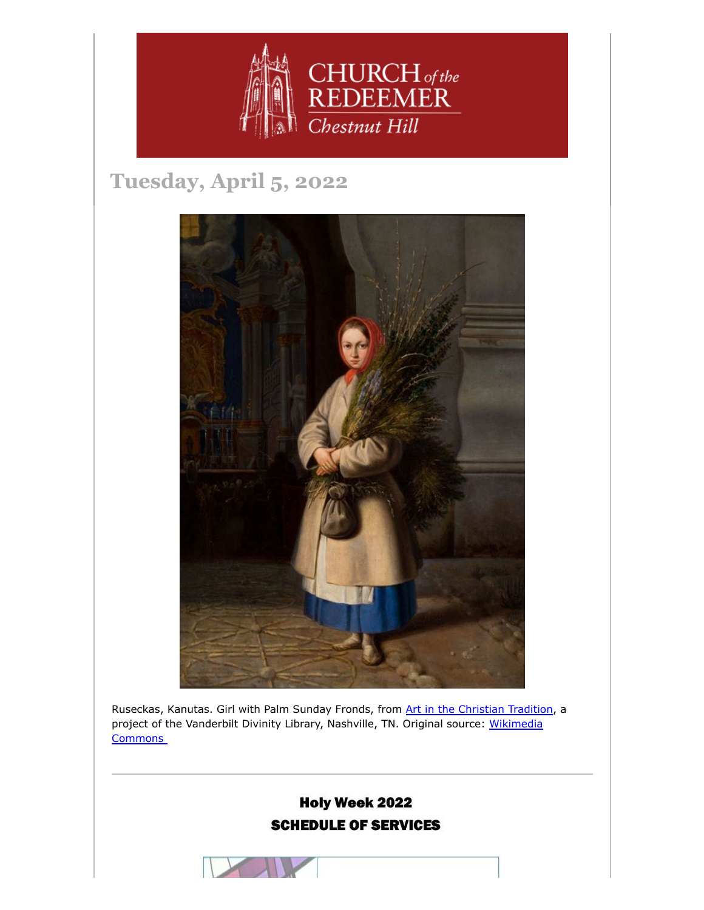

# **Tuesday, April 5, 2022**



Ruseckas, Kanutas. Girl with Palm Sunday Fronds, from [Art in the Christian Tradition](https://diglib.library.vanderbilt.edu/act-imagelink.pl?RC=56500), a [project of the Vanderbilt Divinity Library, Nashville, TN.](https://commons.wikimedia.org/wiki/File:Lithuanian_Girl_with_Palm_Sunday_Fronds.jpeg.) Original source: Wikimedia **Commons** 



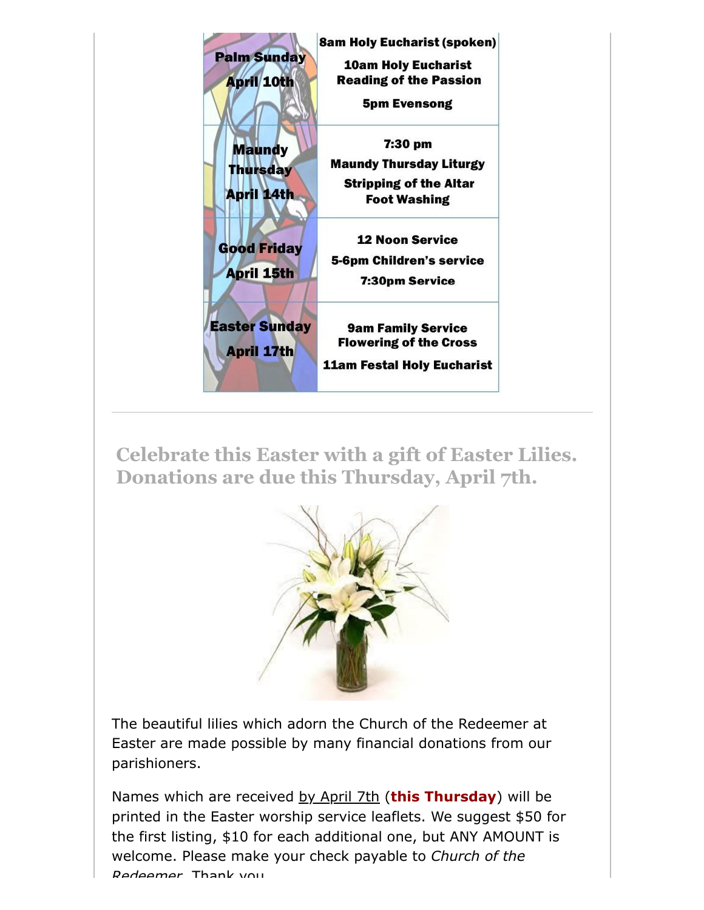

**Celebrate this Easter with a gift of Easter Lilies. Donations are due this Thursday, April 7th.**



The beautiful lilies which adorn the Church of the Redeemer at Easter are made possible by many financial donations from our parishioners.

Names which are received by April 7th (**this Thursday**) will be printed in the Easter worship service leaflets. We suggest \$50 for the first listing, \$10 for each additional one, but ANY AMOUNT is welcome. Please make your check payable to *Church of the Redeemer* Thank you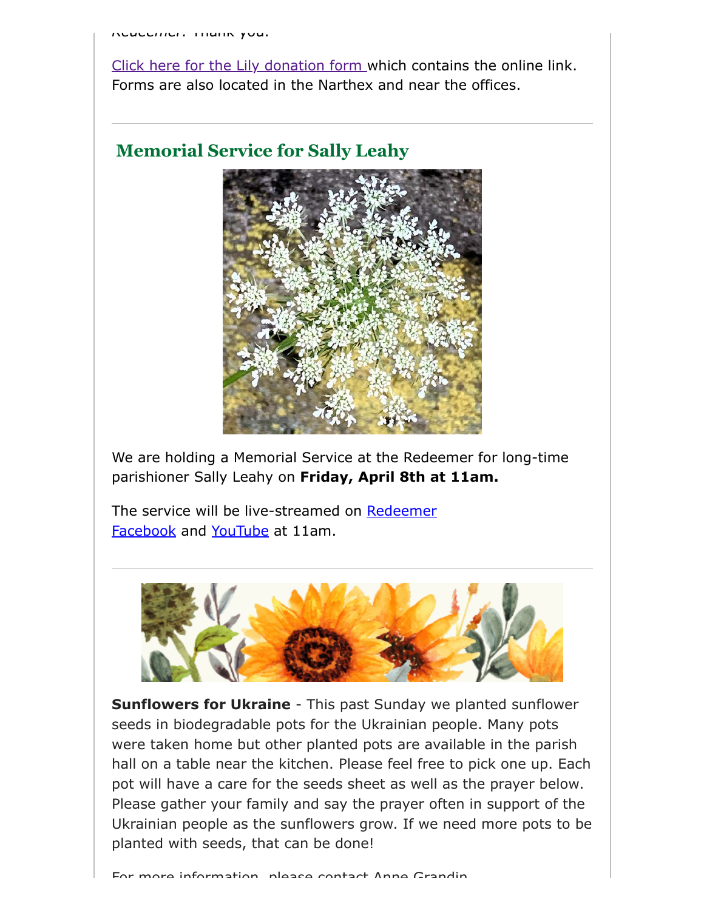[Click here for the Lily donation form](https://drive.google.com/open?id=1MmMW3R5ESQWhQAdeR1mlJ-otLnxne_oj&authuser=office%40redeemerchestnuthill.org&usp=drive_fs) which contains the online link. Forms are also located in the Narthex and near the offices.

### **Memorial Service for Sally Leahy**



We are holding a Memorial Service at the Redeemer for long-time parishioner Sally Leahy on **Friday, April 8th at 11am.**

[The service will be live-streamed on](https://www.facebook.com/redeemerchestnuthill) Redeemer Facebook and [YouTube](https://www.youtube.com/channel/UCuF2ATr93WfFYaj4XlyKKDw) at 11am.



**Sunflowers for Ukraine** - This past Sunday we planted sunflower seeds in biodegradable pots for the Ukrainian people. Many pots were taken home but other planted pots are available in the parish hall on a table near the kitchen. Please feel free to pick one up. Each pot will have a care for the seeds sheet as well as the prayer below. Please gather your family and say the prayer often in support of the Ukrainian people as the sunflowers grow. If we need more pots to be planted with seeds, that can be done!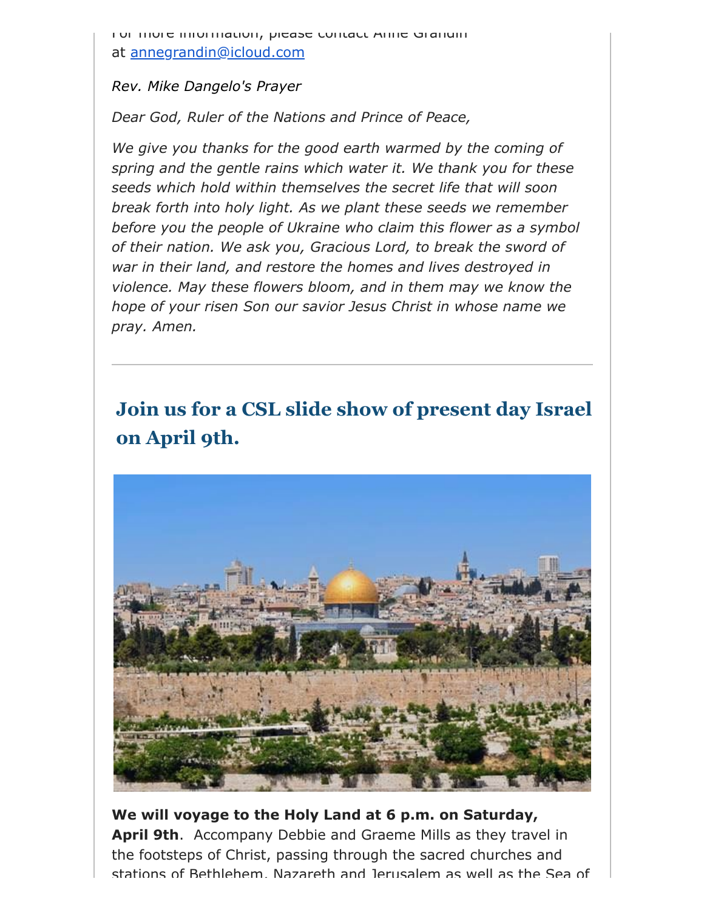For more information, please contact Anne Grandin at [annegrandin@icloud.com](mailto:annegrandin@icloud.com)

#### *Rev. Mike Dangelo's Prayer*

*Dear God, Ruler of the Nations and Prince of Peace,*

*We give you thanks for the good earth warmed by the coming of spring and the gentle rains which water it. We thank you for these seeds which hold within themselves the secret life that will soon break forth into holy light. As we plant these seeds we remember before you the people of Ukraine who claim this flower as a symbol of their nation. We ask you, Gracious Lord, to break the sword of war in their land, and restore the homes and lives destroyed in violence. May these flowers bloom, and in them may we know the hope of your risen Son our savior Jesus Christ in whose name we pray. Amen.*

# **Join us for a CSL slide show of present day Israel on April 9th.**



**We will voyage to the Holy Land at 6 p.m. on Saturday, April 9th**. Accompany Debbie and Graeme Mills as they travel in the footsteps of Christ, passing through the sacred churches and stations of Bethlehem, Nazareth and Jerusalem as well as the Sea of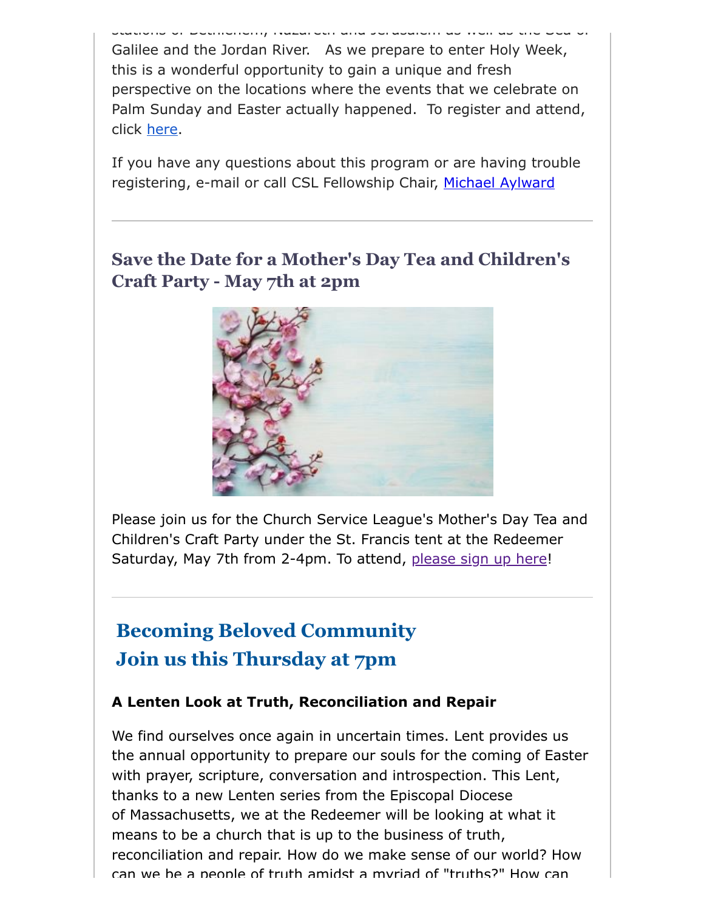stations of Bethlehem, Nazareth and Jerusalem as well as the Sea of Galilee and the Jordan River. As we prepare to enter Holy Week, this is a wonderful opportunity to gain a unique and fresh perspective on the locations where the events that we celebrate on Palm Sunday and Easter actually happened. To register and attend, click [here.](https://us06web.zoom.us/j/83936221752?pwd=RUhLRmsrcWNCYk5ObC8zT2RiRVNjdz09)

If you have any questions about this program or are having trouble registering, e-mail or call CSL Fellowship Chair, [Michael Aylward](mailto:MAylward@morrisonmahoney.com)

## **Save the Date for a Mother's Day Tea and Children's Craft Party - May 7th at 2pm**



Please join us for the Church Service League's Mother's Day Tea and Children's Craft Party under the St. Francis tent at the Redeemer Saturday, May 7th from 2-4pm. To attend, [please sign up here!](https://www.signupgenius.com/go/4090C4FACAA23A4FD0-church)

## **Becoming Beloved Community Join us this Thursday at 7pm**

#### **A Lenten Look at Truth, Reconciliation and Repair**

We find ourselves once again in uncertain times. Lent provides us the annual opportunity to prepare our souls for the coming of Easter with prayer, scripture, conversation and introspection. This Lent, thanks to a new Lenten series from the Episcopal Diocese of Massachusetts, we at the Redeemer will be looking at what it means to be a church that is up to the business of truth, reconciliation and repair. How do we make sense of our world? How can we be a people of truth amidst a myriad of "truths?" How can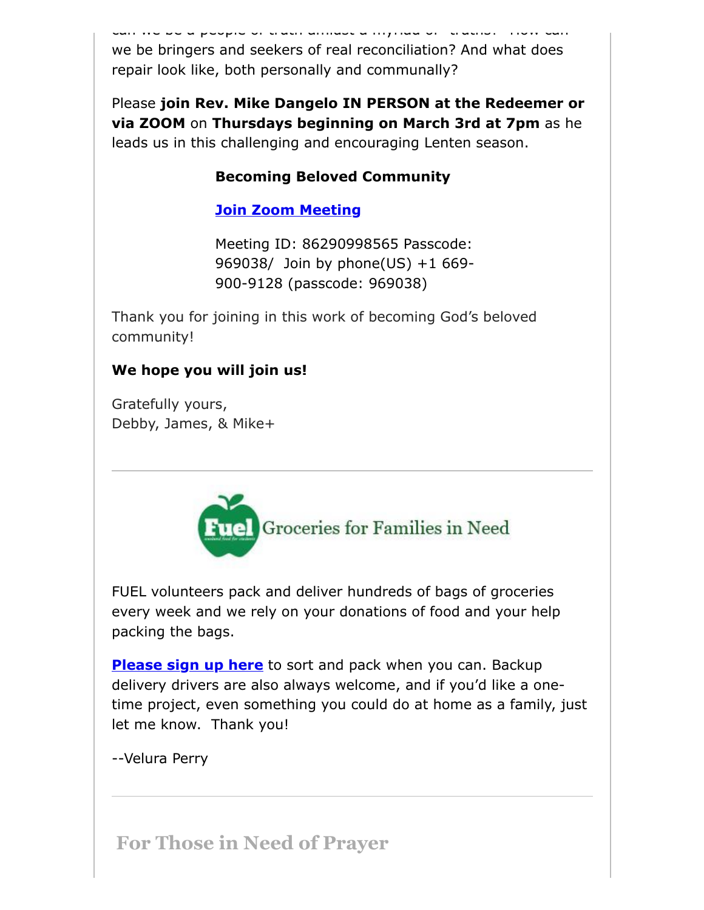can people of truths amidst a myriad of we be bringers and seekers of real reconciliation? And what does repair look like, both personally and communally?

Please **join Rev. Mike Dangelo IN PERSON at the Redeemer or via ZOOM** on **Thursdays beginning on March 3rd at 7pm** as he leads us in this challenging and encouraging Lenten season.

### **Becoming Beloved Community**

### **[Join Zoom Meeting](https://us02web.zoom.us/j/86290998565?pwd=Ym8zRHlGTWw0ZDUvMmlRZjJlNTUzZz09#success#success)**

Meeting ID: 86290998565 Passcode: 969038/ Join by phone(US) +1 669- 900-9128 (passcode: 969038)

Thank you for joining in this work of becoming God's beloved community!

### **We hope you will join us!**

Gratefully yours, Debby, James, & Mike+



FUEL volunteers pack and deliver hundreds of bags of groceries every week and we rely on your donations of food and your help packing the bags.

**[Please sign up here](https://signup.com/go/FNGHQhR)** to sort and pack when you can. Backup delivery drivers are also always welcome, and if you'd like a onetime project, even something you could do at home as a family, just let me know. Thank you!

--Velura Perry

**For Those in Need of Prayer**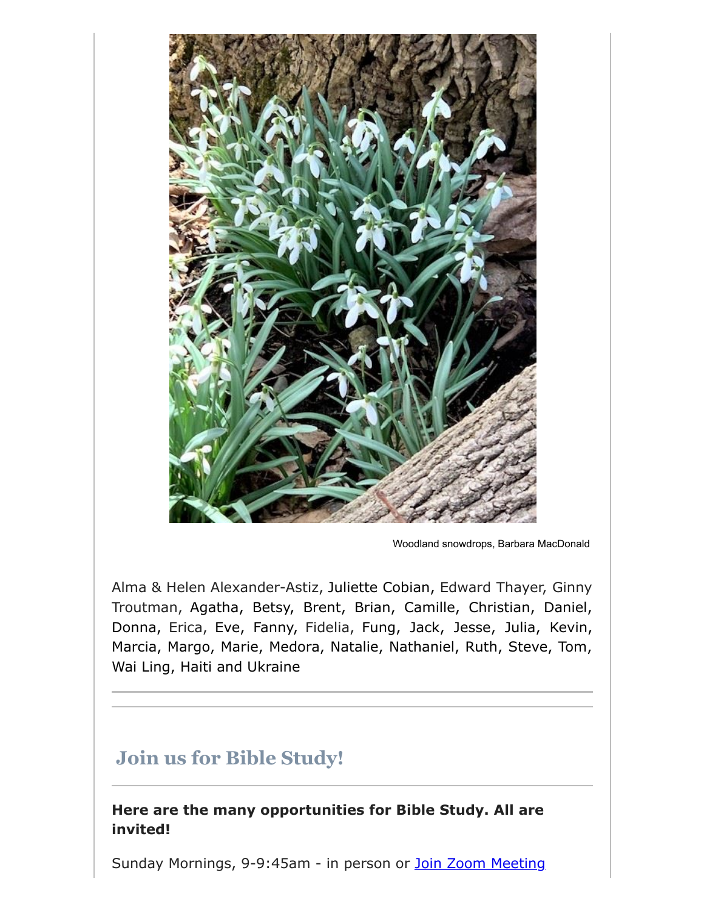

Woodland snowdrops, Barbara MacDonald

Alma & Helen Alexander-Astiz, Juliette Cobian, Edward Thayer, Ginny Troutman, Agatha, Betsy, Brent, Brian, Camille, Christian, Daniel, Donna, Erica, Eve, Fanny, Fidelia, Fung, Jack, Jesse, Julia, Kevin, Marcia, Margo, Marie, Medora, Natalie, Nathaniel, Ruth, Steve, Tom, Wai Ling, Haiti and Ukraine

## **Join us for Bible Study!**

**Here are the many opportunities for Bible Study. All are invited!**

Sunday Mornings, 9-9:45am - in person or [Join Zoom Meeting](https://us02web.zoom.us/j/86566228912?pwd=aGxWTU1PU3Y3TDZsVTdmbXg2UnNvZz09)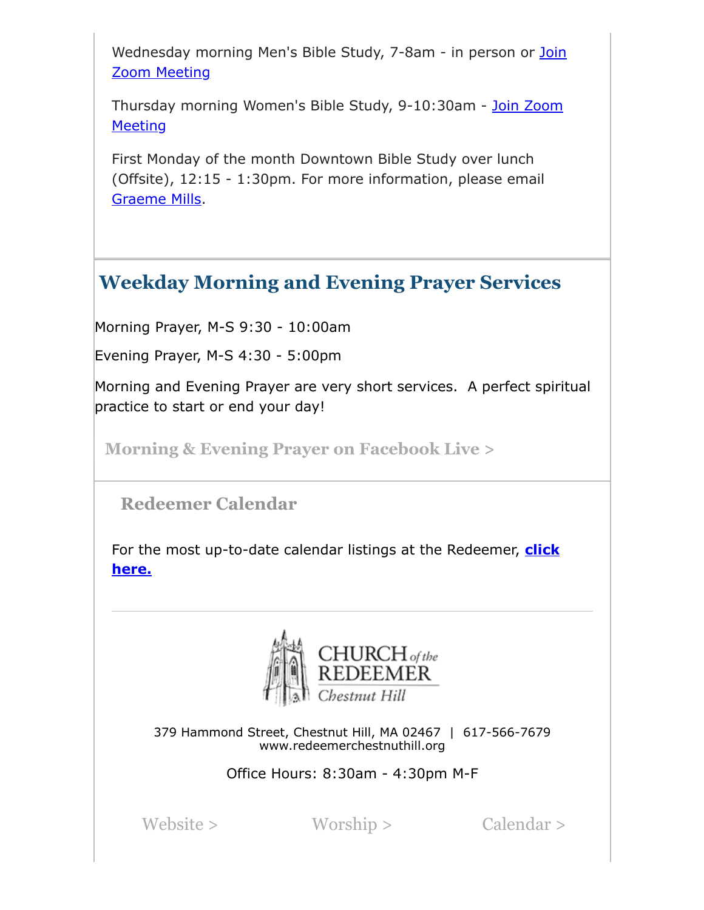[Wednesday morning Men's Bible Study, 7-8am - in person or](https://us02web.zoom.us/j/89392200698?pwd=czIzYmlKT1JCRmkrdlBFM2lJaGdkZz09) Join Zoom Meeting

[Thursday morning Women's Bible Study, 9-10:30am - Join Zoom](https://us02web.zoom.us/j/82431832126?pwd=ZXBLQUFnL2haSEZyWll3b0R0MEpmUT09#success#success) **Meeting** 

First Monday of the month Downtown Bible Study over lunch (Offsite), 12:15 - 1:30pm. For more information, please email [Graeme Mills](mailto:gmills@cambridgeassociates.com).

## **Weekday Morning and Evening Prayer Services**

Morning Prayer, M-S 9:30 - 10:00am

Evening Prayer, M-S 4:30 - 5:00pm

Morning and Evening Prayer are very short services. A perfect spiritual practice to start or end your day!

**[Morning & Evening Prayer on Facebook Live >](https://www.facebook.com/redeemerchestnuthill/)**

 **Redeemer Calendar**

[For the most up-to-date calendar listings at the Redeemer,](https://calendar.google.com/calendar/b/1/r/week/2020/8/19?tab=mc&pli=1) **click here.**



379 Hammond Street, Chestnut Hill, MA 02467 | 617-566-7679 www.redeemerchestnuthill.org

Office Hours: 8:30am - 4:30pm M-F

[Website >](https://redeemerchestnuthill.org/) [Worship >](https://redeemerchestnuthill.org/worship-schedule) [Calendar >](https://redeemerchestnuthill.org/calendar)